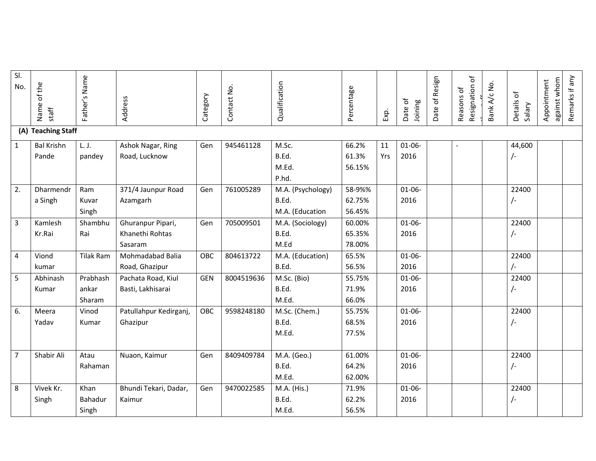| SI.<br>No.       | of the<br>Name<br>staff | Father's Name    | Address                | Category   | Contact No. | Qualification     | Percentage | Exp. | Date of<br>Joining | Date of Resign | Resignation of<br>Reasons of | Bank A/c No. | Details of<br>Salary | against whom<br>Appointment | Remarks if any |
|------------------|-------------------------|------------------|------------------------|------------|-------------|-------------------|------------|------|--------------------|----------------|------------------------------|--------------|----------------------|-----------------------------|----------------|
|                  | (A) Teaching Staff      |                  |                        |            |             |                   |            |      |                    |                |                              |              |                      |                             |                |
| $\mathbf{1}$     | <b>Bal Krishn</b>       | L. J.            | Ashok Nagar, Ring      | Gen        | 945461128   | M.Sc.             | 66.2%      | 11   | $01 - 06 -$        |                |                              |              | 44,600               |                             |                |
|                  | Pande                   | pandey           | Road, Lucknow          |            |             | B.Ed.             | 61.3%      | Yrs  | 2016               |                |                              |              | $\sqrt{-}$           |                             |                |
|                  |                         |                  |                        |            |             | M.Ed.             | 56.15%     |      |                    |                |                              |              |                      |                             |                |
|                  |                         |                  |                        |            |             | P.hd.             |            |      |                    |                |                              |              |                      |                             |                |
| $\overline{2}$ . | Dharmendr               | Ram              | 371/4 Jaunpur Road     | Gen        | 761005289   | M.A. (Psychology) | 58-9%%     |      | $01 - 06 -$        |                |                              |              | 22400                |                             |                |
|                  | a Singh                 | Kuvar            | Azamgarh               |            |             | B.Ed.             | 62.75%     |      | 2016               |                |                              |              | $\frac{1}{2}$        |                             |                |
|                  |                         | Singh            |                        |            |             | M.A. (Education   | 56.45%     |      |                    |                |                              |              |                      |                             |                |
| $\overline{3}$   | Kamlesh                 | Shambhu          | Ghuranpur Pipari,      | Gen        | 705009501   | M.A. (Sociology)  | 60.00%     |      | $01 - 06 -$        |                |                              |              | 22400                |                             |                |
|                  | Kr.Rai                  | Rai              | Khanethi Rohtas        |            |             | B.Ed.             | 65.35%     |      | 2016               |                |                              |              | /-                   |                             |                |
|                  |                         |                  | Sasaram                |            |             | M.Ed              | 78.00%     |      |                    |                |                              |              |                      |                             |                |
| $\overline{4}$   | Viond                   | <b>Tilak Ram</b> | Mohmadabad Balia       | OBC        | 804613722   | M.A. (Education)  | 65.5%      |      | $01 - 06 -$        |                |                              |              | 22400                |                             |                |
|                  | kumar                   |                  | Road, Ghazipur         |            |             | B.Ed.             | 56.5%      |      | 2016               |                |                              |              | $\sqrt{2}$           |                             |                |
| 5                | Abhinash                | Prabhash         | Pachata Road, Kiul     | <b>GEN</b> | 8004519636  | M.Sc. (Bio)       | 55.75%     |      | $01 - 06 -$        |                |                              |              | 22400                |                             |                |
|                  | Kumar                   | ankar            | Basti, Lakhisarai      |            |             | B.Ed.             | 71.9%      |      | 2016               |                |                              |              | /-                   |                             |                |
|                  |                         | Sharam           |                        |            |             | M.Ed.             | 66.0%      |      |                    |                |                              |              |                      |                             |                |
| 6.               | Meera                   | Vinod            | Patullahpur Kedirganj, | OBC        | 9598248180  | M.Sc. (Chem.)     | 55.75%     |      | $01 - 06 -$        |                |                              |              | 22400                |                             |                |
|                  | Yadav                   | Kumar            | Ghazipur               |            |             | B.Ed.             | 68.5%      |      | 2016               |                |                              |              | $\frac{1}{2}$        |                             |                |
|                  |                         |                  |                        |            |             | M.Ed.             | 77.5%      |      |                    |                |                              |              |                      |                             |                |
|                  |                         |                  |                        |            |             |                   |            |      |                    |                |                              |              |                      |                             |                |
| $\overline{7}$   | Shabir Ali              | Atau             | Nuaon, Kaimur          | Gen        | 8409409784  | M.A. (Geo.)       | 61.00%     |      | $01 - 06 -$        |                |                              |              | 22400                |                             |                |
|                  |                         | Rahaman          |                        |            |             | B.Ed.             | 64.2%      |      | 2016               |                |                              |              | $\frac{1}{2}$        |                             |                |
|                  |                         |                  |                        |            |             | M.Ed.             | 62.00%     |      |                    |                |                              |              |                      |                             |                |
| 8                | Vivek Kr.               | Khan             | Bhundi Tekari, Dadar,  | Gen        | 9470022585  | M.A. (His.)       | 71.9%      |      | $01 - 06 -$        |                |                              |              | 22400                |                             |                |
|                  | Singh                   | Bahadur          | Kaimur                 |            |             | B.Ed.             | 62.2%      |      | 2016               |                |                              |              | $\sqrt{-}$           |                             |                |
|                  |                         | Singh            |                        |            |             | M.Ed.             | 56.5%      |      |                    |                |                              |              |                      |                             |                |